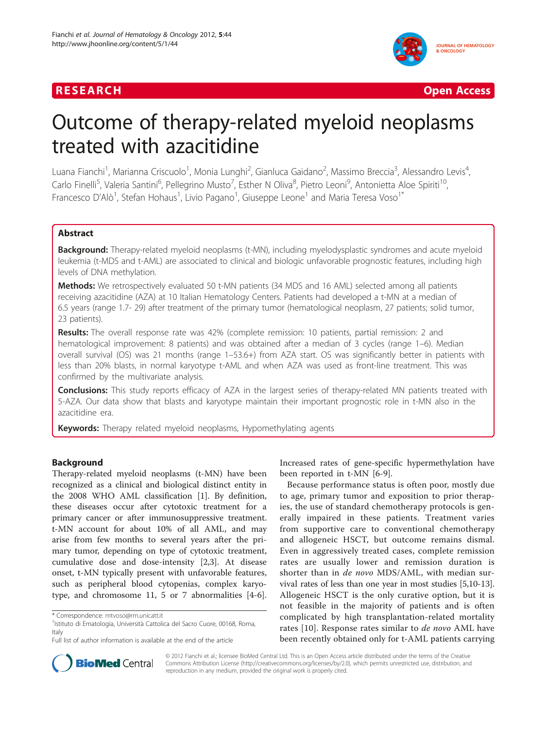



# Outcome of therapy-related myeloid neoplasms treated with azacitidine

Luana Fianchi<sup>1</sup>, Marianna Criscuolo<sup>1</sup>, Monia Lunghi<sup>2</sup>, Gianluca Gaidano<sup>2</sup>, Massimo Breccia<sup>3</sup>, Alessandro Levis<sup>4</sup> , Carlo Finelli<sup>5</sup>, Valeria Santini<sup>6</sup>, Pellegrino Musto<sup>7</sup>, Esther N Oliva<sup>8</sup>, Pietro Leoni<sup>9</sup>, Antonietta Aloe Spiriti<sup>10</sup>, Francesco D'Alò<sup>1</sup>, Stefan Hohaus<sup>1</sup>, Livio Pagano<sup>1</sup>, Giuseppe Leone<sup>1</sup> and Maria Teresa Voso<sup>1\*</sup>

# Abstract

**Background:** Therapy-related myeloid neoplasms (t-MN), including myelodysplastic syndromes and acute myeloid leukemia (t-MDS and t-AML) are associated to clinical and biologic unfavorable prognostic features, including high levels of DNA methylation.

Methods: We retrospectively evaluated 50 t-MN patients (34 MDS and 16 AML) selected among all patients receiving azacitidine (AZA) at 10 Italian Hematology Centers. Patients had developed a t-MN at a median of 6.5 years (range 1.7- 29) after treatment of the primary tumor (hematological neoplasm, 27 patients; solid tumor, 23 patients).

Results: The overall response rate was 42% (complete remission: 10 patients, partial remission: 2 and hematological improvement: 8 patients) and was obtained after a median of 3 cycles (range 1–6). Median overall survival (OS) was 21 months (range 1–53.6+) from AZA start. OS was significantly better in patients with less than 20% blasts, in normal karyotype t-AML and when AZA was used as front-line treatment. This was confirmed by the multivariate analysis.

**Conclusions:** This study reports efficacy of AZA in the largest series of therapy-related MN patients treated with 5-AZA. Our data show that blasts and karyotype maintain their important prognostic role in t-MN also in the azacitidine era.

Keywords: Therapy related myeloid neoplasms, Hypomethylating agents

# Background

Therapy-related myeloid neoplasms (t-MN) have been recognized as a clinical and biological distinct entity in the 2008 WHO AML classification [\[1\]](#page-5-0). By definition, these diseases occur after cytotoxic treatment for a primary cancer or after immunosuppressive treatment. t-MN account for about 10% of all AML, and may arise from few months to several years after the primary tumor, depending on type of cytotoxic treatment, cumulative dose and dose-intensity [\[2,3](#page-5-0)]. At disease onset, t-MN typically present with unfavorable features, such as peripheral blood cytopenias, complex karyotype, and chromosome 11, 5 or 7 abnormalities [[4-6](#page-5-0)].



Because performance status is often poor, mostly due to age, primary tumor and exposition to prior therapies, the use of standard chemotherapy protocols is generally impaired in these patients. Treatment varies from supportive care to conventional chemotherapy and allogeneic HSCT, but outcome remains dismal. Even in aggressively treated cases, complete remission rates are usually lower and remission duration is shorter than in de novo MDS/AML, with median survival rates of less than one year in most studies [[5,](#page-5-0)[10](#page-6-0)-[13](#page-6-0)]. Allogeneic HSCT is the only curative option, but it is not feasible in the majority of patients and is often complicated by high transplantation-related mortality rates [\[10](#page-6-0)]. Response rates similar to *de novo* AML have been recently obtained only for t-AML patients carrying



© 2012 Fianchi et al.; licensee BioMed Central Ltd. This is an Open Access article distributed under the terms of the Creative Commons Attribution License [\(http://creativecommons.org/licenses/by/2.0\)](http://creativecommons.org/licenses/by/2.0), which permits unrestricted use, distribution, and reproduction in any medium, provided the original work is properly cited.

<sup>\*</sup> Correspondence: [mtvoso@rm.unicatt.it](mailto:mtvoso@rm.unicatt.it) <sup>1</sup>

<sup>&</sup>lt;sup>1</sup>Istituto di Ematologia, Università Cattolica del Sacro Cuore, 00168, Roma, Italy

Full list of author information is available at the end of the article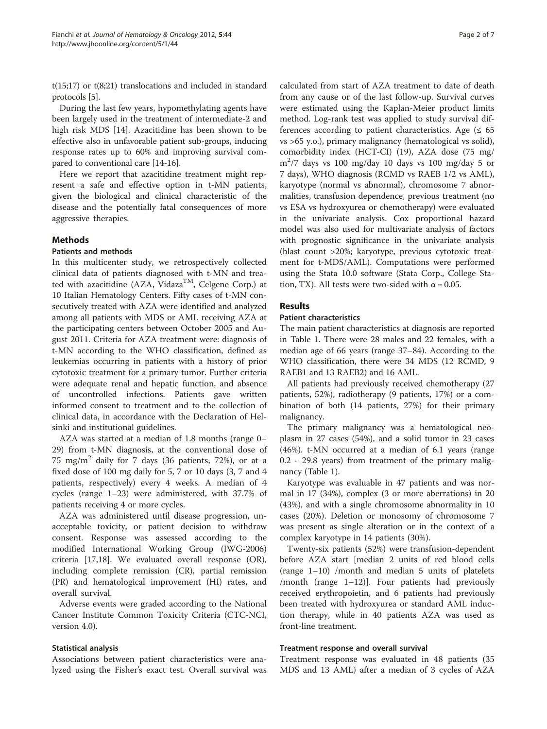$t(15;17)$  or  $t(8;21)$  translocations and included in standard protocols [\[5](#page-5-0)].

During the last few years, hypomethylating agents have been largely used in the treatment of intermediate-2 and high risk MDS [[14](#page-6-0)]. Azacitidine has been shown to be effective also in unfavorable patient sub-groups, inducing response rates up to 60% and improving survival compared to conventional care [[14-16\]](#page-6-0).

Here we report that azacitidine treatment might represent a safe and effective option in t-MN patients, given the biological and clinical characteristic of the disease and the potentially fatal consequences of more aggressive therapies.

# Methods

## Patients and methods

In this multicenter study, we retrospectively collected clinical data of patients diagnosed with t-MN and treated with azacitidine (AZA, Vidaza<sup>TM</sup>, Celgene Corp.) at 10 Italian Hematology Centers. Fifty cases of t-MN consecutively treated with AZA were identified and analyzed among all patients with MDS or AML receiving AZA at the participating centers between October 2005 and August 2011. Criteria for AZA treatment were: diagnosis of t-MN according to the WHO classification, defined as leukemias occurring in patients with a history of prior cytotoxic treatment for a primary tumor. Further criteria were adequate renal and hepatic function, and absence of uncontrolled infections. Patients gave written informed consent to treatment and to the collection of clinical data, in accordance with the Declaration of Helsinki and institutional guidelines.

AZA was started at a median of 1.8 months (range 0– 29) from t-MN diagnosis, at the conventional dose of 75 mg/m<sup>2</sup> daily for 7 days (36 patients, 72%), or at a fixed dose of 100 mg daily for 5, 7 or 10 days (3, 7 and 4 patients, respectively) every 4 weeks. A median of 4 cycles (range 1–23) were administered, with 37.7% of patients receiving 4 or more cycles.

AZA was administered until disease progression, unacceptable toxicity, or patient decision to withdraw consent. Response was assessed according to the modified International Working Group (IWG-2006) criteria [[17,18\]](#page-6-0). We evaluated overall response (OR), including complete remission (CR), partial remission (PR) and hematological improvement (HI) rates, and overall survival.

Adverse events were graded according to the National Cancer Institute Common Toxicity Criteria (CTC-NCI, version 4.0).

#### Statistical analysis

Associations between patient characteristics were analyzed using the Fisher's exact test. Overall survival was

calculated from start of AZA treatment to date of death from any cause or of the last follow-up. Survival curves were estimated using the Kaplan-Meier product limits method. Log-rank test was applied to study survival differences according to patient characteristics. Age  $( \leq 65$ vs >65 y.o.), primary malignancy (hematological vs solid), comorbidity index (HCT-CI) (19), AZA dose (75 mg/ m2 /7 days vs 100 mg/day 10 days vs 100 mg/day 5 or 7 days), WHO diagnosis (RCMD vs RAEB 1/2 vs AML), karyotype (normal vs abnormal), chromosome 7 abnormalities, transfusion dependence, previous treatment (no vs ESA vs hydroxyurea or chemotherapy) were evaluated in the univariate analysis. Cox proportional hazard model was also used for multivariate analysis of factors with prognostic significance in the univariate analysis (blast count >20%; karyotype, previous cytotoxic treatment for t-MDS/AML). Computations were performed using the Stata 10.0 software (Stata Corp., College Station, TX). All tests were two-sided with  $\alpha = 0.05$ .

# Results

# Patient characteristics

The main patient characteristics at diagnosis are reported in Table [1.](#page-2-0) There were 28 males and 22 females, with a median age of 66 years (range 37–84). According to the WHO classification, there were 34 MDS (12 RCMD, 9 RAEB1 and 13 RAEB2) and 16 AML.

All patients had previously received chemotherapy (27 patients, 52%), radiotherapy (9 patients, 17%) or a combination of both (14 patients, 27%) for their primary malignancy.

The primary malignancy was a hematological neoplasm in 27 cases (54%), and a solid tumor in 23 cases (46%). t-MN occurred at a median of 6.1 years (range 0.2 - 29.8 years) from treatment of the primary malignancy (Table [1\)](#page-2-0).

Karyotype was evaluable in 47 patients and was normal in 17 (34%), complex (3 or more aberrations) in 20 (43%), and with a single chromosome abnormality in 10 cases (20%). Deletion or monosomy of chromosome 7 was present as single alteration or in the context of a complex karyotype in 14 patients (30%).

Twenty-six patients (52%) were transfusion-dependent before AZA start [median 2 units of red blood cells (range 1–10) /month and median 5 units of platelets /month (range 1–12)]. Four patients had previously received erythropoietin, and 6 patients had previously been treated with hydroxyurea or standard AML induction therapy, while in 40 patients AZA was used as front-line treatment.

#### Treatment response and overall survival

Treatment response was evaluated in 48 patients (35 MDS and 13 AML) after a median of 3 cycles of AZA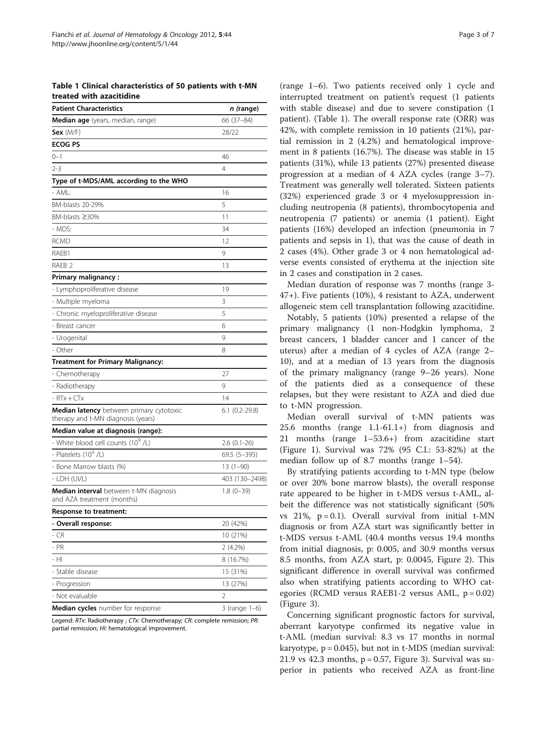<span id="page-2-0"></span>Table 1 Clinical characteristics of 50 patients with t-MN treated with azacitidine

| <b>Patient Characteristics</b>                                                 | n (range)            |
|--------------------------------------------------------------------------------|----------------------|
| Median age (years, median, range)                                              | 66 (37-84)           |
| $Sex$ (M/F)                                                                    | 28/22                |
| <b>ECOG PS</b>                                                                 |                      |
| $0 - 1$                                                                        | 46                   |
| $2 - 3$                                                                        | 4                    |
| Type of t-MDS/AML according to the WHO                                         |                      |
| - AML:                                                                         | 16                   |
| BM-blasts 20-29%                                                               | 5                    |
| BM-blasts ≥30%                                                                 | 11                   |
| - MDS:                                                                         | 34                   |
| <b>RCMD</b>                                                                    | 12                   |
| RAEB1                                                                          | 9                    |
| RAEB <sub>2</sub>                                                              | 13                   |
| <b>Primary malignancy:</b>                                                     |                      |
| - Lymphoproliferative disease                                                  | 19                   |
| - Multiple myeloma                                                             | 3                    |
| - Chronic myeloproliferative disease                                           | 5                    |
| - Breast cancer                                                                | 6                    |
| - Urogenital                                                                   | 9                    |
| - Other                                                                        | 8                    |
| <b>Treatment for Primary Malignancy:</b>                                       |                      |
| - Chemotherapy                                                                 | 27                   |
| - Radiotherapy                                                                 | 9                    |
| - RTx + CTx                                                                    | 14                   |
| Median latency between primary cytotoxic<br>therapy and t-MN diagnosis (years) | $6.1$ $(0.2 - 29.8)$ |
| Median value at diagnosis (range):                                             |                      |
| - White blood cell counts (10 <sup>9</sup> /L)                                 | 2.6 (0.1-26)         |
| - Platelets (10 <sup>9</sup> /L)                                               | 69.5 (5–395)         |
| - Bone Marrow blasts (%)                                                       | $13(1-90)$           |
| - LDH (UI/L)                                                                   | 403 (130-2498)       |
| Median interval between t-MN diagnosis<br>and AZA treatment (months)           | $1.8(0-39)$          |
| <b>Response to treatment:</b>                                                  |                      |
| - Overall response:                                                            | 20 (42%)             |
| - CR                                                                           | 10 (21%)             |
| - PR                                                                           | $2(4.2\%)$           |
| - HI                                                                           | 8 (16.7%)            |
| - Stable disease                                                               | 15 (31%)             |
| - Progression                                                                  | 13 (27%)             |
| - Not evaluable                                                                | 2                    |
| Median cycles number for response                                              | $3$ (range $1-6$ )   |

Legend: RTx: Radiotherapy ; CTx: Chemotherapy; CR: complete remission; PR: partial remission; HI: hematological improvement.

(range 1–6). Two patients received only 1 cycle and interrupted treatment on patient's request (1 patients with stable disease) and due to severe constipation (1 patient). (Table 1). The overall response rate (ORR) was 42%, with complete remission in 10 patients (21%), partial remission in 2 (4.2%) and hematological improvement in 8 patients (16.7%). The disease was stable in 15 patients (31%), while 13 patients (27%) presented disease progression at a median of 4 AZA cycles (range 3–7). Treatment was generally well tolerated. Sixteen patients (32%) experienced grade 3 or 4 myelosuppression including neutropenia (8 patients), thrombocytopenia and neutropenia (7 patients) or anemia (1 patient). Eight patients (16%) developed an infection (pneumonia in 7 patients and sepsis in 1), that was the cause of death in 2 cases (4%). Other grade 3 or 4 non hematological adverse events consisted of erythema at the injection site in 2 cases and constipation in 2 cases.

Median duration of response was 7 months (range 3- 47+). Five patients (10%), 4 resistant to AZA, underwent allogeneic stem cell transplantation following azacitidine.

Notably, 5 patients (10%) presented a relapse of the primary malignancy (1 non-Hodgkin lymphoma, 2 breast cancers, 1 bladder cancer and 1 cancer of the uterus) after a median of 4 cycles of AZA (range 2– 10), and at a median of 13 years from the diagnosis of the primary malignancy (range 9–26 years). None of the patients died as a consequence of these relapses, but they were resistant to AZA and died due to t-MN progression.

Median overall survival of t-MN patients was 25.6 months (range 1.1-61.1+) from diagnosis and 21 months (range 1–53.6+) from azacitidine start (Figure [1\)](#page-3-0). Survival was 72% (95 C.I.: 53-82%) at the median follow up of 8.7 months (range 1–54).

By stratifying patients according to t-MN type (below or over 20% bone marrow blasts), the overall response rate appeared to be higher in t-MDS versus t-AML, albeit the difference was not statistically significant (50% vs  $21\%$ ,  $p = 0.1$ ). Overall survival from initial t-MN diagnosis or from AZA start was significantly better in t-MDS versus t-AML (40.4 months versus 19.4 months from initial diagnosis, p: 0.005, and 30.9 months versus 8.5 months, from AZA start, p: 0.0045, Figure [2\)](#page-3-0). This significant difference in overall survival was confirmed also when stratifying patients according to WHO categories (RCMD versus RAEB1-2 versus AML,  $p = 0.02$ ) (Figure [3](#page-3-0)).

Concerning significant prognostic factors for survival, aberrant karyotype confirmed its negative value in t-AML (median survival: 8.3 vs 17 months in normal karyotype,  $p = 0.045$ ), but not in t-MDS (median survival: 21.9 vs 42.3 months,  $p = 0.57$ , Figure [3](#page-3-0)). Survival was superior in patients who received AZA as front-line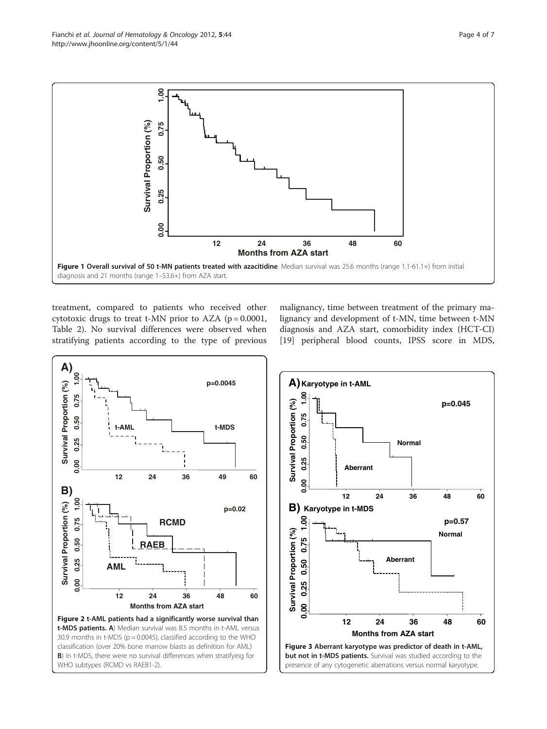<span id="page-3-0"></span>

treatment, compared to patients who received other cytotoxic drugs to treat t-MN prior to AZA ( $p = 0.0001$ , Table [2\)](#page-4-0). No survival differences were observed when stratifying patients according to the type of previous

malignancy, time between treatment of the primary malignancy and development of t-MN, time between t-MN diagnosis and AZA start, comorbidity index (HCT-CI) [[19\]](#page-6-0) peripheral blood counts, IPSS score in MDS,



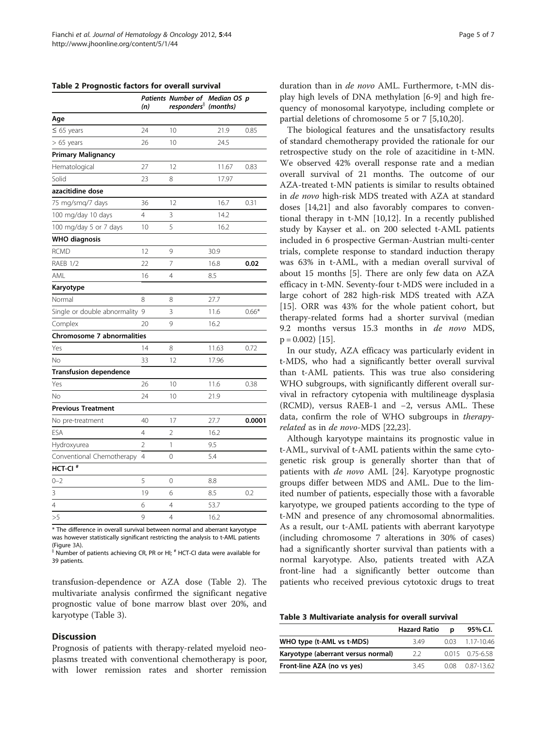<span id="page-4-0"></span>

|  | Table 2 Prognostic factors for overall survival |  |  |  |  |
|--|-------------------------------------------------|--|--|--|--|
|--|-------------------------------------------------|--|--|--|--|

|                               | (n)            | Patients Number of Median OS p<br>responders <sup>§</sup> (months) |       |         |
|-------------------------------|----------------|--------------------------------------------------------------------|-------|---------|
| Age                           |                |                                                                    |       |         |
| $\leq$ 65 years               | 24             | 10                                                                 | 21.9  | 0.85    |
| > 65 years                    | 26             | 10                                                                 | 24.5  |         |
| <b>Primary Malignancy</b>     |                |                                                                    |       |         |
| Hematological                 | 27             | 12                                                                 | 11.67 | 0.83    |
| Solid                         | 23             | 8                                                                  | 17.97 |         |
| azacitidine dose              |                |                                                                    |       |         |
| 75 mg/smq/7 days              | 36             | 12                                                                 | 16.7  | 0.31    |
| 100 mg/day 10 days            | 4              | 3                                                                  | 14.2  |         |
| 100 mg/day 5 or 7 days        | 10             | 5                                                                  | 16.2  |         |
| <b>WHO diagnosis</b>          |                |                                                                    |       |         |
| <b>RCMD</b>                   | 12             | 9                                                                  | 30.9  |         |
| RAEB 1/2                      | 22             | 7                                                                  | 16.8  | 0.02    |
| AML                           | 16             | 4                                                                  | 8.5   |         |
| Karyotype                     |                |                                                                    |       |         |
| Normal                        | 8              | 8                                                                  | 27.7  |         |
| Single or double abnormality  | 9              | 3                                                                  | 11.6  | $0.66*$ |
| Complex                       | 20             | 9                                                                  | 16.2  |         |
| Chromosome 7 abnormalities    |                |                                                                    |       |         |
| Yes                           | 14             | 8                                                                  | 11.63 | 0.72    |
| No                            | 33             | 12                                                                 | 17.96 |         |
| <b>Transfusion dependence</b> |                |                                                                    |       |         |
| Yes                           | 26             | 10                                                                 | 11.6  | 0.38    |
| No                            | 24             | 10                                                                 | 21.9  |         |
| <b>Previous Treatment</b>     |                |                                                                    |       |         |
| No pre-treatment              | 40             | 17                                                                 | 27.7  | 0.0001  |
| ESA                           | 4              | 2                                                                  | 16.2  |         |
| Hydroxyurea                   | $\overline{2}$ | 1                                                                  | 9.5   |         |
| Conventional Chemotherapy     | $\overline{4}$ | 0                                                                  | 5.4   |         |
| HCT-CI <sup>#</sup>           |                |                                                                    |       |         |
| $0 - 2$                       | 5              | 0                                                                  | 8.8   |         |
| 3                             | 19             | 6                                                                  | 8.5   | 0.2     |
| $\overline{4}$                | 6              | $\overline{4}$                                                     | 53.7  |         |
| >5                            | 9              | 4                                                                  | 16.2  |         |

\* The difference in overall survival between normal and aberrant karyotype was however statistically significant restricting the analysis to t-AML patients (Figure [3A\)](#page-3-0).

 $\frac{8}{3}$  Number of patients achieving CR, PR or HI;  $^{\#}$  HCT-CI data were available for 39 patients.

transfusion-dependence or AZA dose (Table 2). The multivariate analysis confirmed the significant negative prognostic value of bone marrow blast over 20%, and karyotype (Table 3).

# **Discussion**

Prognosis of patients with therapy-related myeloid neoplasms treated with conventional chemotherapy is poor, with lower remission rates and shorter remission duration than in de novo AML. Furthermore, t-MN display high levels of DNA methylation [[6](#page-5-0)[-9](#page-6-0)] and high frequency of monosomal karyotype, including complete or partial deletions of chromosome 5 or 7 [[5,](#page-5-0)[10,20\]](#page-6-0).

The biological features and the unsatisfactory results of standard chemotherapy provided the rationale for our retrospective study on the role of azacitidine in t-MN. We observed 42% overall response rate and a median overall survival of 21 months. The outcome of our AZA-treated t-MN patients is similar to results obtained in de novo high-risk MDS treated with AZA at standard doses [\[14,21\]](#page-6-0) and also favorably compares to conventional therapy in t-MN [[10](#page-6-0),[12](#page-6-0)]. In a recently published study by Kayser et al.. on 200 selected t-AML patients included in 6 prospective German-Austrian multi-center trials, complete response to standard induction therapy was 63% in t-AML, with a median overall survival of about 15 months [[5\]](#page-5-0). There are only few data on AZA efficacy in t-MN. Seventy-four t-MDS were included in a large cohort of 282 high-risk MDS treated with AZA [[15\]](#page-6-0). ORR was 43% for the whole patient cohort, but therapy-related forms had a shorter survival (median 9.2 months versus 15.3 months in de novo MDS,  $p = 0.002$  [\[15\]](#page-6-0).

In our study, AZA efficacy was particularly evident in t-MDS, who had a significantly better overall survival than t-AML patients. This was true also considering WHO subgroups, with significantly different overall survival in refractory cytopenia with multilineage dysplasia (RCMD), versus RAEB-1 and −2, versus AML. These data, confirm the role of WHO subgroups in therapyrelated as in de novo-MDS [\[22,23](#page-6-0)].

Although karyotype maintains its prognostic value in t-AML, survival of t-AML patients within the same cytogenetic risk group is generally shorter than that of patients with de novo AML [\[24\]](#page-6-0). Karyotype prognostic groups differ between MDS and AML. Due to the limited number of patients, especially those with a favorable karyotype, we grouped patients according to the type of t-MN and presence of any chromosomal abnormalities. As a result, our t-AML patients with aberrant karyotype (including chromosome 7 alterations in 30% of cases) had a significantly shorter survival than patients with a normal karyotype. Also, patients treated with AZA front-line had a significantly better outcome than patients who received previous cytotoxic drugs to treat

| Table 3 Multivariate analysis for overall survival |  |  |  |  |
|----------------------------------------------------|--|--|--|--|
|----------------------------------------------------|--|--|--|--|

|                                    | <b>Hazard Ratio</b> | D | 95% C.I.              |
|------------------------------------|---------------------|---|-----------------------|
| WHO type (t-AML vs t-MDS)          | 349                 |   | $0.03$ 1.17-10.46     |
| Karyotype (aberrant versus normal) | 22                  |   | $0.015$ $0.75 - 6.58$ |
| Front-line AZA (no vs yes)         | 345                 |   | 0.08 0.87-13.62       |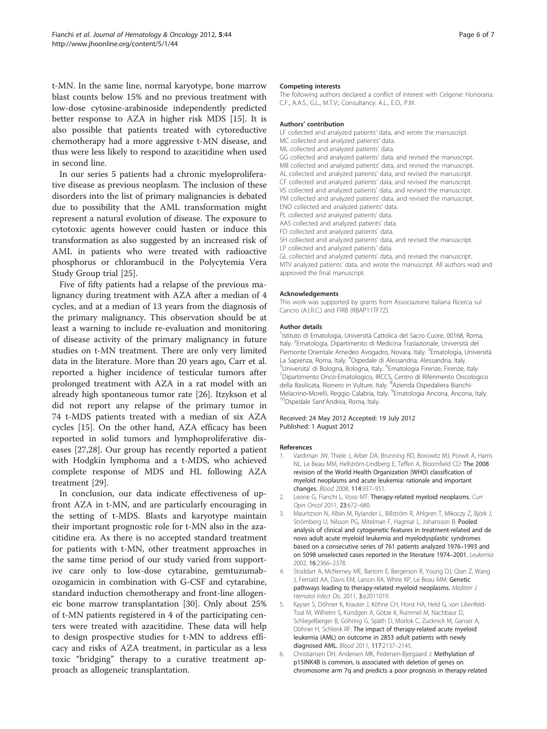<span id="page-5-0"></span>t-MN. In the same line, normal karyotype, bone marrow blast counts below 15% and no previous treatment with low-dose cytosine-arabinoside independently predicted better response to AZA in higher risk MDS [[15\]](#page-6-0). It is also possible that patients treated with cytoreductive chemotherapy had a more aggressive t-MN disease, and thus were less likely to respond to azacitidine when used in second line.

In our series 5 patients had a chronic myeloproliferative disease as previous neoplasm. The inclusion of these disorders into the list of primary malignancies is debated due to possibility that the AML transformation might represent a natural evolution of disease. The exposure to cytotoxic agents however could hasten or induce this transformation as also suggested by an increased risk of AML in patients who were treated with radioactive phosphorus or chlorambucil in the Polycytemia Vera Study Group trial [[25\]](#page-6-0).

Five of fifty patients had a relapse of the previous malignancy during treatment with AZA after a median of 4 cycles, and at a median of 13 years from the diagnosis of the primary malignancy. This observation should be at least a warning to include re-evaluation and monitoring of disease activity of the primary malignancy in future studies on t-MN treatment. There are only very limited data in the literature. More than 20 years ago, Carr et al. reported a higher incidence of testicular tumors after prolonged treatment with AZA in a rat model with an already high spontaneous tumor rate [\[26\]](#page-6-0). Itzykson et al did not report any relapse of the primary tumor in 74 t-MDS patients treated with a median of six AZA cycles [\[15\]](#page-6-0). On the other hand, AZA efficacy has been reported in solid tumors and lymphoproliferative diseases [\[27,28\]](#page-6-0). Our group has recently reported a patient with Hodgkin lymphoma and a t-MDS, who achieved complete response of MDS and HL following AZA treatment [\[29\]](#page-6-0).

In conclusion, our data indicate effectiveness of upfront AZA in t-MN, and are particularly encouraging in the setting of t-MDS. Blasts and karyotype maintain their important prognostic role for t-MN also in the azacitidine era. As there is no accepted standard treatment for patients with t-MN, other treatment approaches in the same time period of our study varied from supportive care only to low-dose cytarabine, gemtuzumabozogamicin in combination with G-CSF and cytarabine, standard induction chemotherapy and front-line allogeneic bone marrow transplantation [[30](#page-6-0)]. Only about 25% of t-MN patients registered in 4 of the participating centers were treated with azacitidine. These data will help to design prospective studies for t-MN to address efficacy and risks of AZA treatment, in particular as a less toxic "bridging" therapy to a curative treatment approach as allogeneic transplantation.

#### Competing interests

The following authors declared a conflict of interest with Celgene: Honoraria: C.F., A.A.S., G.L., M.T.V.; Consultancy: A.L., E.O., P.M.

#### Authors' contribution

LF collected and analyzed patients' data, and wrote the manuscript.

- MC collected and analyzed patients' data.
- ML collected and analyzed patients' data.

GG collected and analyzed patients' data, and revised the manuscript. MB collected and analyzed patients' data, and revised the manuscript. AL collected and analyzed patients' data, and revised the manuscript. CF collected and analyzed patients' data, and revised the manuscript. VS collected and analyzed patients' data, and revised the manuscript. PM collected and analyzed patients' data, and revised the manuscript. ENO collected and analyzed patients' data.

PL collected and analyzed patients' data.

AAS collected and analyzed patients' data.

FD collected and analyzed patients' data.

SH collected and analyzed patients' data, and revised the manuscript. LP collected and analyzed patients' data.

GL collected and analyzed patients' data, and revised the manuscript.

MTV analyzed patients' data, and wrote the manuscript. All authors read and approved the final manuscript.

#### Acknowledgements

This work was supported by grants from Associazione Italiana Ricerca sul Cancro (A.I.R.C.) and FIRB (RBAP11TF7Z).

#### Author details

<sup>1</sup>Istituto di Ematologia, Università Cattolica del Sacro Cuore, 00168, Roma, Italy. <sup>2</sup> Ematologia, Dipartimento di Medicina Traslazionale, Università del Piemonte Orientale Amedeo Avogadro, Novara, Italy. <sup>3</sup>Ematologia, Università La Sapienza, Roma, Italy. <sup>4</sup>Ospedale di Alessandria, Alessandria, Italy.<br><sup>5</sup>Universita<sup>l</sup> di Belgana, Belgana, Italy. <sup>6</sup>Ematelogia Firenzo, Firenzo. <sup>5</sup>Universita' di Bologna, Bologna, Italy. <sup>6</sup>Ematologia Firenze, Firenze, Italy.<br><sup>7</sup>Dipartimente Once Ematologica IPCCS, Contre di Piferimente Oncelee Dipartimento Onco-Ematologico, IRCCS, Centro di Riferimento Oncologico della Basilicata, Rionero in Vulture, Italy. <sup>8</sup>Azienda Ospedaliera Bianchi-Melacrino-Morelli, Reggio Calabria, Italy. <sup>9</sup>Ematologia Ancona, Ancona, Italy<br><sup>10</sup>Ospedale Sant'Andrea, Roma, Italy.

#### Received: 24 May 2012 Accepted: 19 July 2012 Published: 1 August 2012

#### References

- 1. Vardiman JW, Thiele J, Arber DA, Brunning RD, Borowitz MJ, Porwit A, Harris NL, Le Beau MM, Hellström-Lindberg E, Tefferi A, Bloomfield CD: The 2008 revision of the World Health Organization (WHO) classification of myeloid neoplasms and acute leukemia: rationale and important changes. Blood 2008, 114:937–951.
- 2. Leone G, Fianchi L, Voso MT: Therapy-related myeloid neoplasms. Curr Opin Oncol 2011, 23:672–680.
- 3. Mauritzson N, Albin M, Rylander L, Billström R, Ahlgren T, Mikoczy Z, Björk J, Strömberg U, Nilsson PG, Mitelman F, Hagmar L, Johansson B: Pooled analysis of clinical and cytogenetic features in treatment-related and de novo adult acute myeloid leukemia and myelodysplastic syndromes based on a consecutive series of 761 patients analyzed 1976–1993 and on 5098 unselected cases reported in the literature 1974–2001. Leukemia 2002, 16:2366–2378.
- 4. Stoddart A, McNerney ME, Bartom E, Bergerson R, Young DJ, Qian Z, Wang J, Fernald AA, Davis EM, Larson RA, White KP, Le Beau MM: Genetic pathways leading to therapy-related myeloid neoplasms. Mediterr J Hematol Infect Dis. 2011, 3:e2011019.
- 5. Kayser S, Döhner K, Krauter J, Köhne CH, Horst HA, Held G, von Lilienfeld-Toal M, Wilhelm S, Kündgen A, Götze K, Rummel M, Nachbaur D, Schlegelberger B, Göhring G, Späth D, Morlok C, Zucknick M, Ganser A, Döhner H, Schlenk RF: The impact of therapy-related acute myeloid leukemia (AML) on outcome in 2853 adult patients with newly diagnosed AML. Blood 2011, 117:2137–2145.
- 6. Christiansen DH, Andersen MK, Pedersen-Bjergaard J: Methylation of p15INK4B is common, is associated with deletion of genes on chromosome arm 7q and predicts a poor prognosis in therapy-related